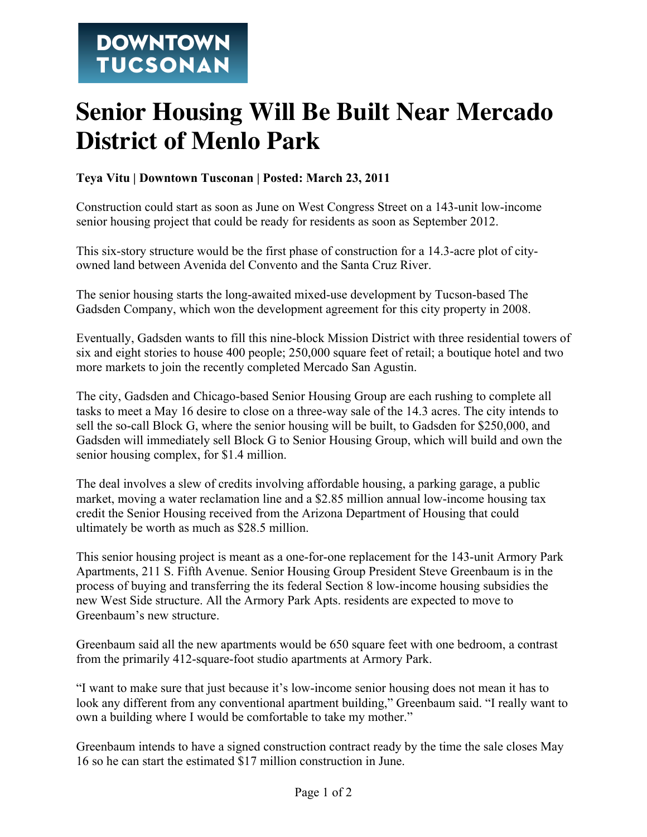## **Senior Housing Will Be Built Near Mercado District of Menlo Park**

## **Teya Vitu | Downtown Tusconan | Posted: March 23, 2011**

Construction could start as soon as June on West Congress Street on a 143-unit low-income senior housing project that could be ready for residents as soon as September 2012.

This six-story structure would be the first phase of construction for a 14.3-acre plot of cityowned land between Avenida del Convento and the Santa Cruz River.

The senior housing starts the long-awaited mixed-use development by Tucson-based The Gadsden Company, which won the development agreement for this city property in 2008.

Eventually, Gadsden wants to fill this nine-block Mission District with three residential towers of six and eight stories to house 400 people; 250,000 square feet of retail; a boutique hotel and two more markets to join the recently completed Mercado San Agustin.

The city, Gadsden and Chicago-based Senior Housing Group are each rushing to complete all tasks to meet a May 16 desire to close on a three-way sale of the 14.3 acres. The city intends to sell the so-call Block G, where the senior housing will be built, to Gadsden for \$250,000, and Gadsden will immediately sell Block G to Senior Housing Group, which will build and own the senior housing complex, for \$1.4 million.

The deal involves a slew of credits involving affordable housing, a parking garage, a public market, moving a water reclamation line and a \$2.85 million annual low-income housing tax credit the Senior Housing received from the Arizona Department of Housing that could ultimately be worth as much as \$28.5 million.

This senior housing project is meant as a one-for-one replacement for the 143-unit Armory Park Apartments, 211 S. Fifth Avenue. Senior Housing Group President Steve Greenbaum is in the process of buying and transferring the its federal Section 8 low-income housing subsidies the new West Side structure. All the Armory Park Apts. residents are expected to move to Greenbaum's new structure.

Greenbaum said all the new apartments would be 650 square feet with one bedroom, a contrast from the primarily 412-square-foot studio apartments at Armory Park.

"I want to make sure that just because it's low-income senior housing does not mean it has to look any different from any conventional apartment building," Greenbaum said. "I really want to own a building where I would be comfortable to take my mother."

Greenbaum intends to have a signed construction contract ready by the time the sale closes May 16 so he can start the estimated \$17 million construction in June.